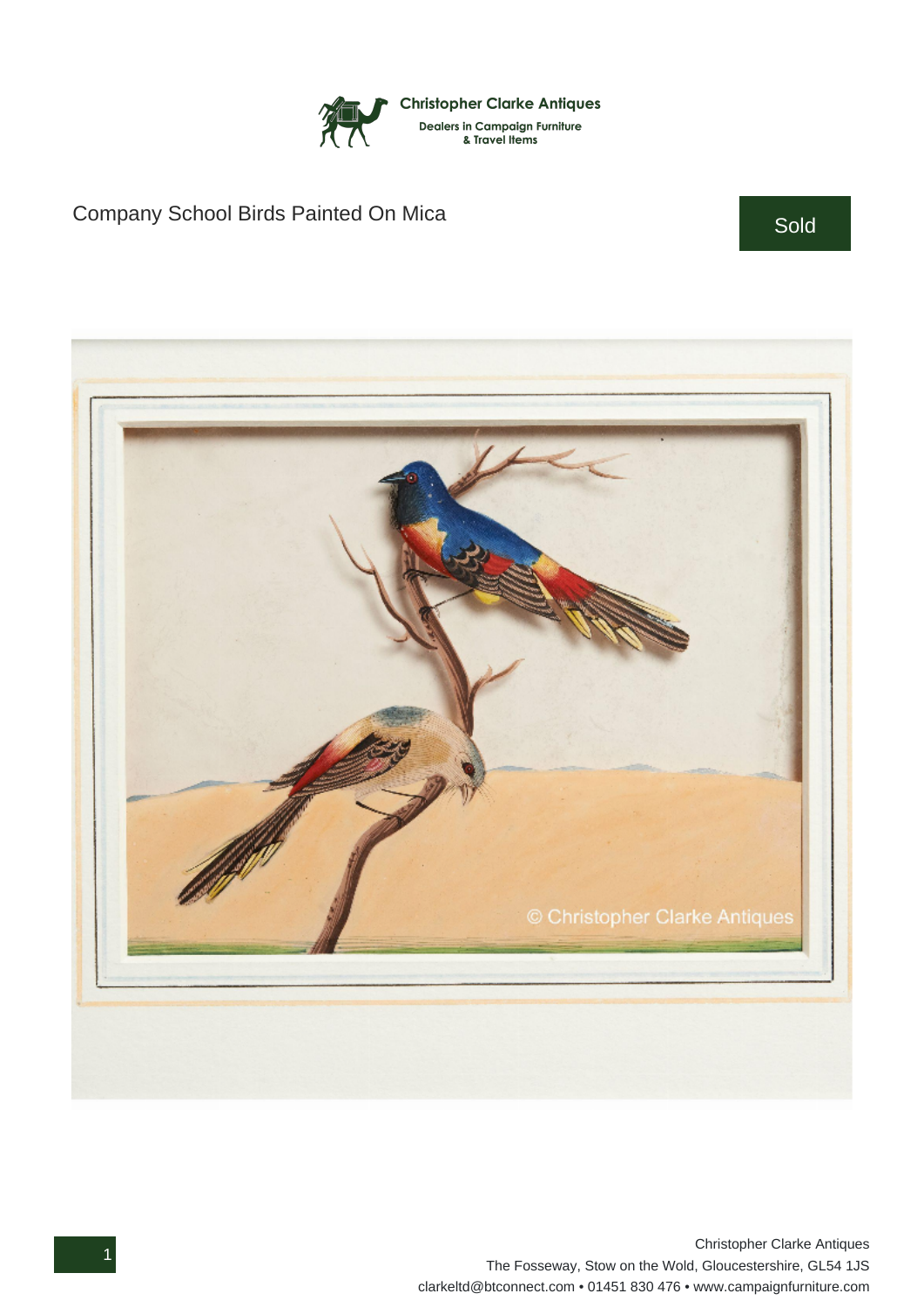

## Company School Birds Painted On Mica Sold Sold